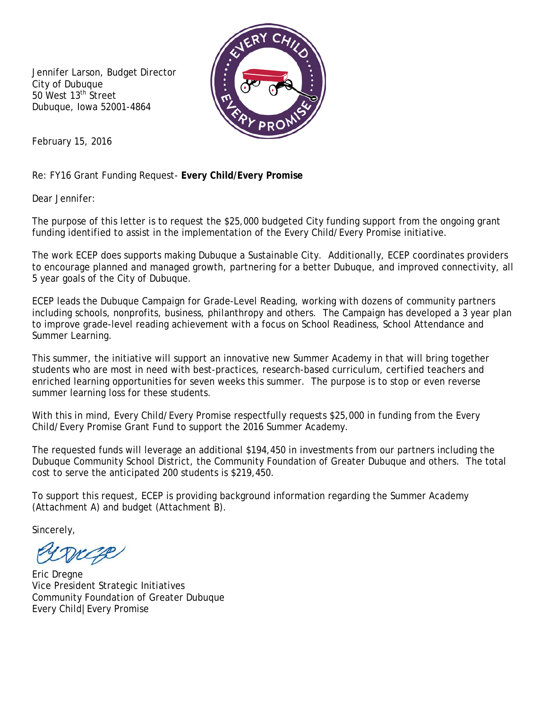Jennifer Larson, Budget Director City of Dubuque 50 West 13<sup>th</sup> Street Dubuque, Iowa 52001-4864



February 15, 2016

Re: FY16 Grant Funding Request- **Every Child/Every Promise**

Dear Jennifer:

The purpose of this letter is to request the \$25,000 budgeted City funding support from the ongoing grant funding identified to assist in the implementation of the Every Child/Every Promise initiative.

The work ECEP does supports making Dubuque a Sustainable City. Additionally, ECEP coordinates providers to encourage planned and managed growth, partnering for a better Dubuque, and improved connectivity, all 5 year goals of the City of Dubuque.

ECEP leads the Dubuque Campaign for Grade-Level Reading, working with dozens of community partners including schools, nonprofits, business, philanthropy and others. The Campaign has developed a 3 year plan to improve grade-level reading achievement with a focus on School Readiness, School Attendance and Summer Learning.

This summer, the initiative will support an innovative new Summer Academy in that will bring together students who are most in need with best-practices, research-based curriculum, certified teachers and enriched learning opportunities for seven weeks this summer. The purpose is to stop or even reverse summer learning loss for these students.

With this in mind, Every Child/Every Promise respectfully requests \$25,000 in funding from the Every Child/Every Promise Grant Fund to support the 2016 Summer Academy.

The requested funds will leverage an additional \$194,450 in investments from our partners including the Dubuque Community School District, the Community Foundation of Greater Dubuque and others. The total cost to serve the anticipated 200 students is \$219,450.

To support this request, ECEP is providing background information regarding the Summer Academy (Attachment A) and budget (Attachment B).

Sincerely,

Eric Dregne Vice President Strategic Initiatives Community Foundation of Greater Dubuque Every Child|Every Promise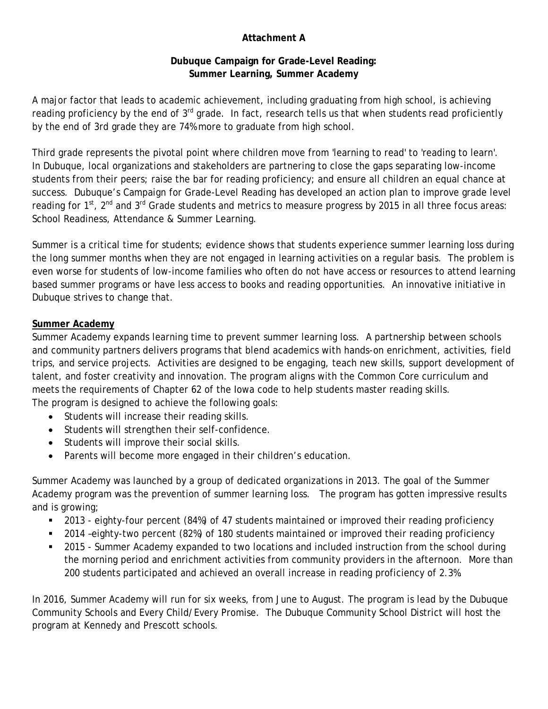# **Attachment A**

## **Dubuque Campaign for Grade-Level Reading: Summer Learning, Summer Academy**

A major factor that leads to academic achievement, including graduating from high school, is achieving reading proficiency by the end of 3<sup>rd</sup> grade. In fact, research tells us that when students read proficiently by the end of 3rd grade they are 74% more to graduate from high school.

Third grade represents the pivotal point where children move from 'learning to read' to 'reading to learn'. In Dubuque, local organizations and stakeholders are partnering to close the gaps separating low-income students from their peers; raise the bar for reading proficiency; and ensure all children an equal chance at success. Dubuque's Campaign for Grade-Level Reading has developed an action plan to improve grade level reading for 1<sup>st</sup>, 2<sup>nd</sup> and 3<sup>rd</sup> Grade students and metrics to measure progress by 2015 in all three focus areas: School Readiness, Attendance & Summer Learning.

Summer is a critical time for students; evidence shows that students experience summer learning loss during the long summer months when they are not engaged in learning activities on a regular basis. The problem is even worse for students of low-income families who often do not have access or resources to attend learning based summer programs or have less access to books and reading opportunities. An innovative initiative in Dubuque strives to change that.

## **Summer Academy**

Summer Academy expands learning time to prevent summer learning loss. A partnership between schools and community partners delivers programs that blend academics with hands-on enrichment, activities, field trips, and service projects. Activities are designed to be engaging, teach new skills, support development of talent, and foster creativity and innovation. The program aligns with the Common Core curriculum and meets the requirements of Chapter 62 of the Iowa code to help students master reading skills. The program is designed to achieve the following goals:

- Students will increase their reading skills.
- Students will strengthen their self-confidence.
- Students will improve their social skills.
- Parents will become more engaged in their children's education.

Summer Academy was launched by a group of dedicated organizations in 2013. The goal of the Summer Academy program was the prevention of summer learning loss. The program has gotten impressive results and is growing;

- 2013 eighty-four percent (84%) of 47 students maintained or improved their reading proficiency
- 2014 –eighty-two percent (82%) of 180 students maintained or improved their reading proficiency
- 2015 Summer Academy expanded to two locations and included instruction from the school during the morning period and enrichment activities from community providers in the afternoon. More than 200 students participated and achieved an overall increase in reading proficiency of 2.3%.

In 2016, Summer Academy will run for six weeks, from June to August. The program is lead by the Dubuque Community Schools and Every Child/Every Promise. The Dubuque Community School District will host the program at Kennedy and Prescott schools.